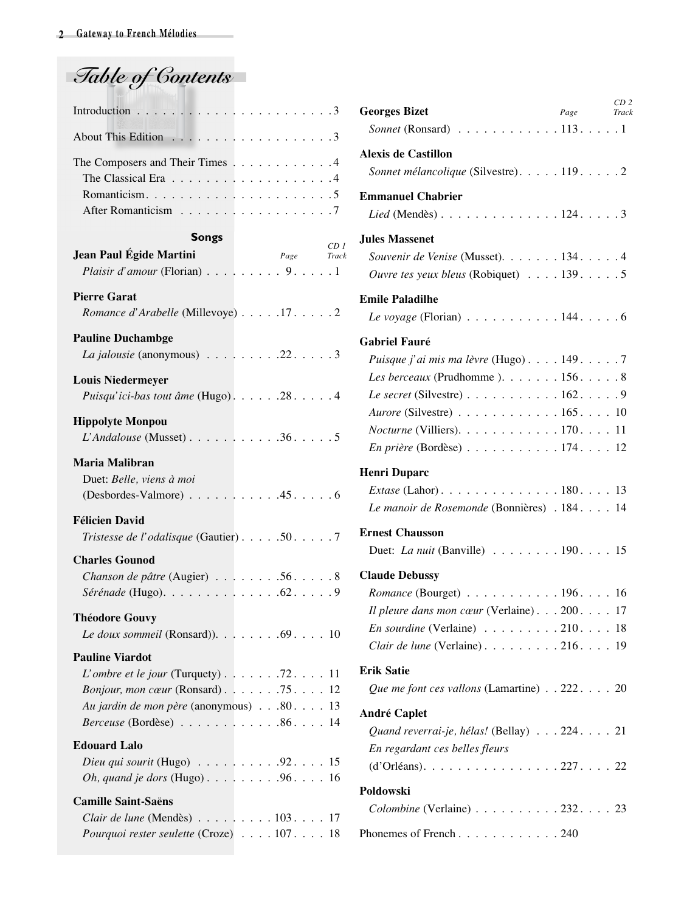| Table of Contents |  |
|-------------------|--|
|                   |  |

| Introduction $\ldots \ldots \ldots \ldots \ldots \ldots \ldots \ldots \ldots$ |  |
|-------------------------------------------------------------------------------|--|
|                                                                               |  |
| The Composers and Their Times 4                                               |  |
|                                                                               |  |
|                                                                               |  |
|                                                                               |  |

## **Songs**

|                                                                                                                                                                                                                                                                  |  |            |  | CD <sub>1</sub> |
|------------------------------------------------------------------------------------------------------------------------------------------------------------------------------------------------------------------------------------------------------------------|--|------------|--|-----------------|
| Jean Paul Égide Martini<br>Plaisir d'amour (Florian) $\ldots$ , $\ldots$ , $\ldots$ , $\ldots$ , 1                                                                                                                                                               |  | Page Track |  |                 |
| <b>Pierre Garat</b><br>Romance d'Arabelle (Millevoye) 17. 2                                                                                                                                                                                                      |  |            |  |                 |
| <b>Pauline Duchambge</b><br>La jalousie (anonymous) 22. 3                                                                                                                                                                                                        |  |            |  |                 |
| <b>Louis Niedermeyer</b><br>Puisqu'ici-bas tout âme (Hugo). 28. 4                                                                                                                                                                                                |  |            |  |                 |
| <b>Hippolyte Monpou</b><br>$L'$ Andalouse (Musset) $\ldots \ldots \ldots \ldots 36 \ldots 5$                                                                                                                                                                     |  |            |  |                 |
| Maria Malibran<br>Duet: Belle, viens à moi<br>$(Desbordes-Valmore) \ldots \ldots \ldots \ldots .45 \ldots \ldots 6$                                                                                                                                              |  |            |  |                 |
| <b>Félicien David</b><br>Tristesse de l'odalisque (Gautier) 50. 7                                                                                                                                                                                                |  |            |  |                 |
| <b>Charles Gounod</b><br>Chanson de pâtre (Augier) 56. 8                                                                                                                                                                                                         |  |            |  |                 |
| <b>Théodore Gouvy</b><br>Le doux sommeil (Ronsard)). $\ldots \ldots \ldots$ . 69. 10                                                                                                                                                                             |  |            |  |                 |
| <b>Pauline Viardot</b><br><i>L'ombre et le jour</i> (Turquety) $\ldots \ldots \ldots$ 72. $\ldots$ 11<br>Bonjour, mon cœur (Ronsard). 75. 12<br>Au jardin de mon père (anonymous) 80. 13<br><i>Berceuse</i> (Bordèse) $\ldots \ldots \ldots \ldots 86 \ldots 14$ |  |            |  |                 |
| <b>Edouard Lalo</b><br>Dieu qui sourit (Hugo) $\ldots \ldots \ldots \ldots 92 \ldots 15$<br>Oh, quand je dors (Hugo). 96. 16                                                                                                                                     |  |            |  |                 |
| <b>Camille Saint-Saëns</b><br>Clair de lune (Mendès) $\ldots \ldots \ldots 103 \ldots 17$<br>Pourquoi rester seulette (Croze) 107. 18                                                                                                                            |  |            |  |                 |

| <b>Georges Bizet</b>                                                    | Page | CD <sub>2</sub><br>Track |
|-------------------------------------------------------------------------|------|--------------------------|
| Sonnet (Ronsard) $\ldots \ldots \ldots \ldots 113 \ldots \ldots 1$      |      |                          |
| <b>Alexis de Castillon</b>                                              |      |                          |
| Sonnet mélancolique (Silvestre). 119. 2                                 |      |                          |
| <b>Emmanuel Chabrier</b>                                                |      |                          |
| Lied (Mendès) 124. 3                                                    |      |                          |
| <b>Jules Massenet</b>                                                   |      |                          |
| Souvenir de Venise (Musset). 134. 4                                     |      |                          |
| Ouvre tes yeux bleus (Robiquet) $\ldots$ . 139. 5                       |      |                          |
| <b>Emile Paladilhe</b>                                                  |      |                          |
| Le voyage (Florian) $\ldots \ldots \ldots \ldots 144 \ldots \ldots 6$   |      |                          |
| <b>Gabriel Fauré</b>                                                    |      |                          |
| <i>Puisque j'ai mis ma lèvre</i> (Hugo)1497                             |      |                          |
| Les berceaux (Prudhomme). $\ldots \ldots \ldots 156 \ldots \ldots 8$    |      |                          |
| Le secret (Silvestre) $\ldots \ldots \ldots \ldots 162 \ldots$ .        |      |                          |
| Aurore (Silvestre) 165. 10                                              |      |                          |
| <i>Nocturne</i> (Villiers). $\ldots \ldots \ldots \ldots 170 \ldots 11$ |      |                          |
| En prière (Bordèse) 174. 12                                             |      |                          |
| <b>Henri Duparc</b>                                                     |      |                          |
| <i>Extase</i> (Lahor). 180. 13                                          |      |                          |
| Le manoir de Rosemonde (Bonnières) . 184. 14                            |      |                          |
| <b>Ernest Chausson</b>                                                  |      |                          |
| Duet: <i>La nuit</i> (Banville) $\ldots \ldots \ldots 190 \ldots 15$    |      |                          |
| <b>Claude Debussy</b>                                                   |      |                          |
| Romance (Bourget) 196. 16                                               |      |                          |
| Il pleure dans mon cœur (Verlaine). $\ldots$ 200.                       |      | 17                       |
| <i>En sourdine</i> (Verlaine) $\ldots \ldots \ldots 210 \ldots 18$      |      |                          |
| Clair de lune (Verlaine). 216. 19                                       |      |                          |
|                                                                         |      |                          |
| <b>Erik Satie</b>                                                       |      |                          |
| Que me font ces vallons (Lamartine) $\ldots$ 222. 20                    |      |                          |
| <b>André Caplet</b>                                                     |      |                          |
| Quand reverrai-je, hélas! (Bellay) 224. 21                              |      |                          |
| En regardant ces belles fleurs                                          |      |                          |
|                                                                         |      |                          |
| Poldowski                                                               |      |                          |
| $Colombine$ (Verlaine) $\ldots \ldots \ldots 232 \ldots 23$             |      |                          |
| Phonemes of French240                                                   |      |                          |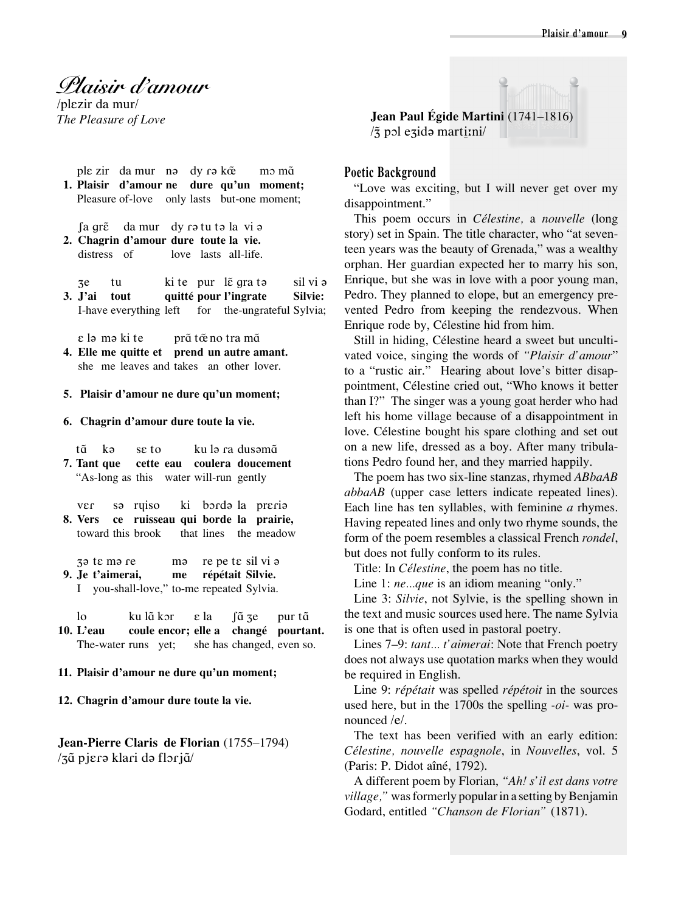## *Plaisir d'amour*

/plεzir da mur/

- ple zir da mur nə dy rə k $\tilde{\alpha}$  mɔ mɑ̃ **1. Plaisir d'amour ne dure qu'un moment;** Pleasure of-love only lasts but-one moment;
- fa qrɛ̃ da mur dy rə tu tə la vi ə **2. Chagrin d'amour dure toute la vie.** distress of love lasts all-life.
- ze tu ki te pur lẽ gra tə sil vi ə **3. J'ai tout quitté pour l'ingrate Silvie:**  I-have everything left for the-ungrateful Sylvia;
	- ε lə mə ki te prɑ̃ tœ̃ no tra mɑ̃
- **4. Elle me quitte et prend un autre amant.** she me leaves and takes an other lover.
- **5. Plaisir d'amour ne dure qu'un moment;**
- **6. Chagrin d'amour dure toute la vie.**
- tɑ˜ kə sε to ku lə ɾa dusəmɑ˜ **7. Tant que cette eau coulera doucement** "As-long as this water will-run gently
- vεɾ sə rɥiso ki bɔɾdə la prεɾiə **8. Vers ce ruisseau qui borde la prairie,** toward this brook that lines the meadow

ə tε mə ɾe mə re pe tε sil vi ə **9. Je t'aimerai, me répétait Silvie.** 

I you-shall-love," to-me repeated Sylvia.

lo ku lã kor ε la ∫ã <del>z</del>e pur tã **10. L'eau coule encor; elle a changé pourtant.**  The-water runs yet; she has changed, even so.

- **11. Plaisir d'amour ne dure qu'un moment;**
- **12. Chagrin d'amour dure toute la vie.**

**Jean-Pierre Claris de Florian** (1755–1794) /ɑ˜ pjεɾə klaɾi də flɔɾjɑ˜/

*The Pleasure of Love* **Jean Paul Égide Martini** (1741–1816)  $\sqrt{3}$  pol ezidə martitini/

## **Poetic Background**

"Love was exciting, but I will never get over my disappointment."

This poem occurs in *Célestine,* a *nouvelle* (long story) set in Spain. The title character, who "at seventeen years was the beauty of Grenada," was a wealthy orphan. Her guardian expected her to marry his son, Enrique, but she was in love with a poor young man, Pedro. They planned to elope, but an emergency prevented Pedro from keeping the rendezvous. When Enrique rode by, Célestine hid from him.

Still in hiding, Célestine heard a sweet but uncultivated voice, singing the words of *"Plaisir d'amour*" to a "rustic air." Hearing about love's bitter disappointment, Célestine cried out, "Who knows it better than I?" The singer was a young goat herder who had left his home village because of a disappointment in love. Célestine bought his spare clothing and set out on a new life, dressed as a boy. After many tribulations Pedro found her, and they married happily.

The poem has two six-line stanzas, rhymed *ABbaAB abbaAB* (upper case letters indicate repeated lines). Each line has ten syllables, with feminine *a* rhymes. Having repeated lines and only two rhyme sounds, the form of the poem resembles a classical French *rondel*, but does not fully conform to its rules.

Title: In *Célestine*, the poem has no title.

Line 1: *ne*...*que* is an idiom meaning "only."

Line 3: *Silvie*, not Sylvie, is the spelling shown in the text and music sources used here. The name Sylvia is one that is often used in pastoral poetry.

Lines 7–9: *tant... t'aimerai*: Note that French poetry does not always use quotation marks when they would be required in English.

Line 9: *répétait* was spelled *répétoit* in the sources used here, but in the 1700s the spelling *-oi-* was pronounced /e/.

The text has been verified with an early edition: *Célestine, nouvelle espagnole*, in *Nouvelles*, vol. 5 (Paris: P. Didot aîné, 1792).

A different poem by Florian, *"Ah! s'il est dans votre village,"* was formerly popular in a setting by Benjamin Godard, entitled *"Chanson de Florian"* (1871).